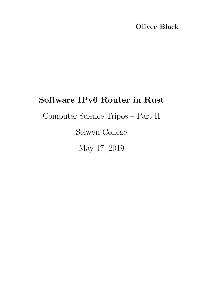## Oliver Black

## <span id="page-0-0"></span>Software IPv6 Router in Rust

Computer Science Tripos – Part II

Selwyn College

May 17, 2019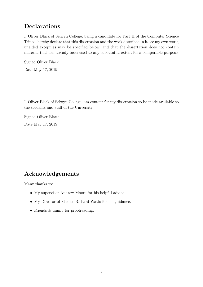### Declarations

I, Oliver Black of Selwyn College, being a candidate for Part II of the Computer Science Tripos, hereby declare that this dissertation and the work described in it are my own work, unaided except as may be specified below, and that the dissertation does not contain material that has already been used to any substantial extent for a comparable purpose.

Signed Oliver Black

Date May 17, 2019

I, Oliver Black of Selwyn College, am content for my dissertation to be made available to the students and staff of the University.

Signed Oliver Black Date May 17, 2019

### <span id="page-1-0"></span>Acknowledgements

Many thanks to:

- My supervisor Andrew Moore for his helpful advice.
- My Director of Studies Richard Watts for his guidance.
- Friends & family for proofreading.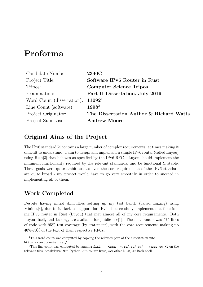## <span id="page-2-0"></span>Proforma

| Candidate Number:          | <b>2340C</b>                            |
|----------------------------|-----------------------------------------|
| Project Title:             | Software IPv6 Router in Rust            |
| Tripos:                    | <b>Computer Science Tripos</b>          |
| Examination:               | Part II Dissertation, July 2019         |
| Word Count (dissertation): | 11092 <sup>1</sup>                      |
| Line Count (software):     | $1998^2$                                |
| Project Originator:        | The Dissertation Author & Richard Watts |
| Project Supervisor:        | <b>Andrew Moore</b>                     |

### Original Aims of the Project

The IPv6 standard[\[2\]](#page-39-0) contains a large number of complex requirements, at times making it difficult to understand. I aim to design and implement a simple IPv6 router (called Luyou) using Rust[\[3\]](#page-39-1) that behaves as specified by the IPv6 RFCs. Luyou should implement the minimum functionality required by the relevant standards, and be functional & stable. These goals were quite ambitious, as even the core requirements of the IPv6 standard are quite broad - my project would have to go very smoothly in order to succeed in implementing all of them.

### Work Completed

Despite having initial difficulties setting up my test bench (called Luxing) using Mininet [\[4\]](#page-39-2), due to its lack of support for IPv6, I successfully implemented a functioning IPv6 router in Rust (Luyou) that met almost all of my core requirements. Both Luyou itself, and Luxing, are available for public use[\[1\]](#page-39-3). The final router was 575 lines of code with 95% test coverage (by statement), with the core requirements making up 40%-70% of the text of their respective RFCs.

<sup>&</sup>lt;sup>1</sup>This word count was computed by copying the relevant part of the dissertation into <https://wordcounter.net/>

<sup>&</sup>lt;sup>2</sup>This line count was computed by running find . -name '\*.rs/.py/.sh' | xargs wc -1 on the relevant files, breakdown: 995 Python, 575 router Rust, 379 other Rust, 49 Bash shell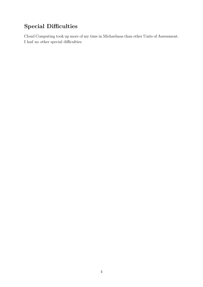## Special Difficulties

Cloud Computing took up more of my time in Michaelmas than other Units of Assessment. I had no other special difficulties.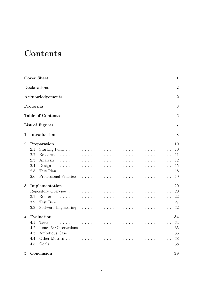## <span id="page-4-0"></span>**Contents**

|                              |                                | <b>Cover Sheet</b>       | 1              |  |  |  |  |
|------------------------------|--------------------------------|--------------------------|----------------|--|--|--|--|
|                              | Declarations<br>$\overline{2}$ |                          |                |  |  |  |  |
|                              |                                | Acknowledgements         | $\overline{2}$ |  |  |  |  |
|                              | Proforma                       |                          | 3              |  |  |  |  |
|                              |                                | <b>Table of Contents</b> | 6              |  |  |  |  |
|                              |                                | List of Figures          | 7              |  |  |  |  |
| 1                            |                                | Introduction             | 8              |  |  |  |  |
| $\overline{2}$               |                                | Preparation              | 10             |  |  |  |  |
|                              | 2.1                            |                          | 10             |  |  |  |  |
|                              | 2.2                            |                          | 11             |  |  |  |  |
|                              | 2.3                            |                          | 12             |  |  |  |  |
|                              | 2.4                            | Design                   | 15             |  |  |  |  |
|                              | 2.5                            | Test Plan                | 18             |  |  |  |  |
|                              | 2.6                            |                          | 19             |  |  |  |  |
| 3                            |                                | Implementation           | 20             |  |  |  |  |
|                              |                                |                          | 20             |  |  |  |  |
|                              | 3.1                            |                          | 22             |  |  |  |  |
|                              | 3.2                            | Test Bench               | 27             |  |  |  |  |
|                              | 3.3                            |                          | 32             |  |  |  |  |
| Evaluation<br>$\overline{4}$ |                                |                          | 34             |  |  |  |  |
|                              | 4.1                            | Tests                    | 34             |  |  |  |  |
|                              | 4.2                            | Issues & Observations    | 35             |  |  |  |  |
|                              | 4.3                            |                          | 36             |  |  |  |  |
|                              | 4.4                            |                          | 38             |  |  |  |  |
|                              | 4.5                            |                          | 38             |  |  |  |  |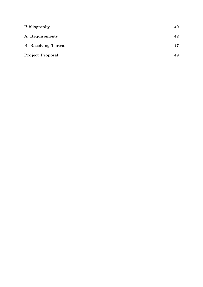| <b>Bibliography</b>       |    |
|---------------------------|----|
| A Requirements            | 42 |
| <b>B</b> Receiving Thread | 47 |
| <b>Project Proposal</b>   | 49 |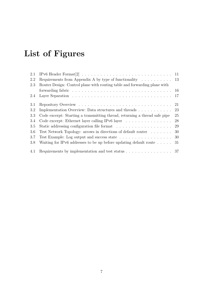# <span id="page-6-0"></span>List of Figures

| 2.1 |                                                                                                  | 11  |
|-----|--------------------------------------------------------------------------------------------------|-----|
| 2.2 | Requirements from Appendix A by type of functionality $\dots \dots \dots \dots$ 13               |     |
| 2.3 | Router Design: Control plane with routing table and forwarding plane with                        |     |
|     | forwarding fabric $\ldots \ldots \ldots \ldots \ldots \ldots \ldots \ldots \ldots \ldots \ldots$ |     |
| 2.4 |                                                                                                  |     |
| 3.1 |                                                                                                  | 21  |
| 3.2 | Implementation Overview: Data structures and threads                                             | 23  |
| 3.3 | Code excerpt: Starting a transmitting thread, returning a thread safe pipe                       | 25  |
| 3.4 | Code excerpt: Ethernet layer calling IPv6 layer $\ldots \ldots \ldots \ldots \ldots$             | 28  |
| 3.5 |                                                                                                  | 29  |
| 3.6 | Test Network Topology: arrows in directions of default router                                    | 30  |
| 3.7 | Test Example: Log output and success state 30                                                    |     |
| 3.8 | Waiting for IPv6 addresses to be up before updating default route $\dots$ .                      | -31 |
| 4.1 | Requirements by implementation and test status $\ldots \ldots \ldots \ldots \ldots 37$           |     |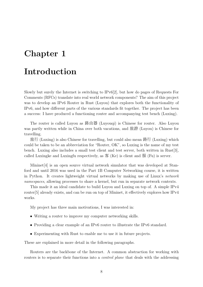## <span id="page-7-0"></span>Chapter 1

## Introduction

Slowly but surely the Internet is switching to IPv6[\[2\]](#page-39-0), but how do pages of Requests For Comments (RFCs) translate into real world network components? The aim of this project was to develop an IPv6 Router in Rust (Luyou) that explores both the functionality of IPv6, and how different parts of the various standards fit together. The project has been a success: I have produced a functioning router and accompanying test bench (Luxing).

The router is called Luyou as <sup>路</sup>由<sup>器</sup> (Luyouqi) is Chinese for router. Also Luyou was partly written while in China over both vacations, and 旅游 (Luyou) is Chinese for travelling.

旅行 (Luxing) is also Chinese for travelling, but could also mean 路行 (Luxing) which could be taken to be an abbreviation for "Router, OK", so Luxing is the name of my test bench. Luxing also includes a small test client and test server, both written in Rust[\[3\]](#page-39-1), called Luxingke and Luxingfu respectively, as  $\mathcal{F}(K_{\rm e})$  is client and  $\mathcal{F}(F_{\rm u})$  is server.

Mininet[\[4\]](#page-39-2) is an open source virtual network simulator that was developed at Stanford and until 2016 was used in the Part 1B Computer Networking course, it is written in Python. It creates lightweight virtual networks by making use of Linux's network namespaces, allowing processes to share a kernel, but run in separate network contexts.

This made it an ideal candidate to build Luyou and Luxing on top of. A simple IPv4 router[\[5\]](#page-39-5) already exists, and can be run on top of Mininet, it effectively explores how IPv4 works.

My project has three main motivations, I was interested in:

- Writing a router to improve my computer networking skills.
- Providing a clear example of an IPv6 router to illustrate the IPv6 standard.
- Experimenting with Rust to enable me to use it in future projects.

These are explained in more detail in the following paragraphs.

Routers are the backbone of the Internet. A common abstraction for working with routers is to separate their functions into a *control plane* that deals with the addressing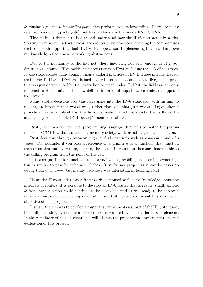& routing logic and a *forwarding plane* that performs packet forwarding. There are many open source routing packages[\[6\]](#page-39-6), but lots of them are dual-mode IPv4 & IPv6.

This makes it difficult to isolate and understand how the IPv6 part actually works. Starting from scratch allows a clear IPv6 router to be produced, avoiding the compromises that come with supporting dual IPv4 & IPv6 operation. Implementing Luyou will improve my knowledge of common networking abstractions.

Due to the popularity of the Internet, there have long not been enough IPv4[\[7\]](#page-39-7) addresses to go around. IPv6 tackles numerous issues in IPv4, including the lack of addresses. It also standardises many common non-standard practices in IPv4. These include the fact that Time To Live in IPv4 was defined partly in terms of seconds left to live, but in practice was just decremented by 1 on every hop between nodes. In IPv6 the field is accurately renamed to Hop Limit, and is now defined in terms of hops between nodes (as opposed to seconds).

Many subtle decisions like this have gone into the IPv6 standard, with an aim to making an Internet that works well, rather than one that just works. Luyou should provide a clear example of how the decisions made in the IPv6 standard actually work analogously to the simple IPv4 router[\[5\]](#page-39-5) mentioned above.

Rust[\[3\]](#page-39-1) is a modern low level programming language that aims to match the performance of  $C/C++$  without sacrificing memory safety, while avoiding garbage collection.

Rust does this through zero-cost high level abstractions such as ownership and lifetimes. For example, if you pass a reference or a primitive to a function, that function then owns that and everything it owns, the passed in value thus becomes inaccessible to the calling program from the point of the call.

It is also possible for functions to 'borrow' values, avoiding transferring ownership, this is similar to pass by reference. I chose Rust for my project as it can be easier to debug than C or C++, but mainly because I was interesting in learning Rust.

Using the IPv6 standard as a framework, combined with some knowledge about the internals of routers, it is possible to develop an IPv6 router that is stable, small, simple, & fast. Such a router could continue to be developed until it was ready to be deployed on actual hardware, but the implementation and testing required meant this was not an objective of this project.

Instead, the aim was to develop a router that implements a subset of the IPv6 standard, hopefully including everything an IPv6 router is required by the standards to implement. In the remainder of this dissertation I will discuss the preparation, implementation, and evaluation of this project.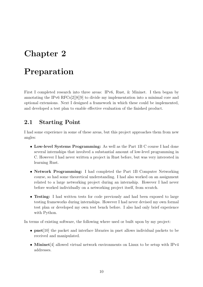## <span id="page-9-0"></span>Chapter 2

## Preparation

First I completed research into three areas: IPv6, Rust, & Mininet. I then began by annotating the IPv6 RFCs[\[2\]](#page-39-0)[\[8\]](#page-39-8)[\[9\]](#page-39-9) to divide my implementation into a minimal core and optional extensions. Next I designed a framework in which these could be implemented, and developed a test plan to enable effective evaluation of the finished product.

### <span id="page-9-1"></span>2.1 Starting Point

I had some experience in some of these areas, but this project approaches them from new angles:

- Low-level Systems Programming: As well as the Part 1B C course I had done several internships that involved a substantial amount of low-level programming in C. However I had never written a project in Rust before, but was very interested in learning Rust.
- Network Programming: I had completed the Part 1B Computer Networking course, so had some theoretical understanding. I had also worked on an assignment related to a large networking project during an internship. However I had never before worked individually on a networking project itself, from scratch.
- Testing: I had written tests for code previously and had been exposed to large testing frameworks during internships. However I had never devised my own formal test plan or developed my own test bench before. I also had only brief experience with Python.

In terms of existing software, the following where used or built upon by my project:

- **pnet**[\[10\]](#page-39-10) the packet and interface libraries in pnet allows individual packets to be received and manipulated.
- Mininet [\[4\]](#page-39-2) allowed virtual network environments on Linux to be setup with IPv4 addresses.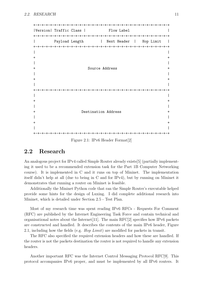+-+-+-+-+-+-+-+-+-+-+-+-+-+-+-+-+-+-+-+-+-+-+-+-+-+-+-+-+-+-+-+-+ |Version| Traffic Class | Flow Label | Flow Label | Flow Label | Flow Label | Flow Label | Flow Label | Flow Label | Flow Label | Flow Label | Flow Label | Flow Label | Flow Label | Flow Label | Flow Label | Flow Label | F +-+-+-+-+-+-+-+-+-+-+-+-+-+-+-+-+-+-+-+-+-+-+-+-+-+-+-+-+-+-+-+-+ Payload Length | Next Header | Hop Limit | +-+-+-+-+-+-+-+-+-+-+-+-+-+-+-+-+-+-+-+-+-+-+-+-+-+-+-+-+-+-+-+-+ | |  $+$  +  $+$ | | + Source Address + | |  $+$ | | +-+-+-+-+-+-+-+-+-+-+-+-+-+-+-+-+-+-+-+-+-+-+-+-+-+-+-+-+-+-+-+-+ | |  $+$  +  $+$ | | Destination Address + | |  $+$ | | +-+-+-+-+-+-+-+-+-+-+-+-+-+-+-+-+-+-+-+-+-+-+-+-+-+-+-+-+-+-+-+-+

<span id="page-10-1"></span>Figure 2.1: IPv6 Header Format[\[2\]](#page-39-0)

#### <span id="page-10-0"></span>2.2 Research

An analogous project for IPv4 called Simple Router already exists[\[5\]](#page-39-5) (partially implementing it used to be a recommended extension task for the Part 1B Computer Networking course). It is implemented in C and it runs on top of Mininet. The implementation itself didn't help at all (due to being in C and for IPv4), but by running on Mininet it demonstrates that running a router on Mininet is feasible.

Additionally the Mininet Python code that ran the Simple Router's executable helped provide some hints for the design of Luxing. I did complete additional research into Mininet, which is detailed under Section [2.5 - Test Plan.](#page-17-0)

Most of my research time was spent reading IPv6 RFCs - Requests For Comment (RFC) are published by the Internet Engineering Task Force and contain technical and organisational notes about the Internet[\[11\]](#page-39-11). The main RFC[\[2\]](#page-39-0) specifies how IPv6 packets are constructed and handled. It describes the contents of the main IPv6 header, [Figure](#page-10-1) [2.1,](#page-10-1) including how the fields (e.g. Hop Limit) are modified for packets in transit.

The RFC also specified the required extension headers and how these are handled. If the router is not the packets destination the router is not required to handle any extension headers.

Another important RFC was the Internet Control Messaging Protocol RFC[\[9\]](#page-39-9). This protocol accompanies IPv6 proper, and must be implemented by all IPv6 routers. It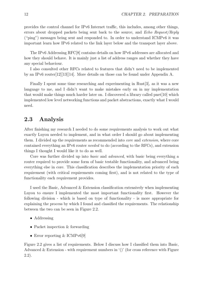provides the control channel for IPv6 Internet traffic, this includes, among other things, errors about dropped packets being sent back to the source, and Echo Request/Reply ("ping") messages being sent and responded to. In order to understand ICMPv6 it was important learn how IPv6 related to the link layer below and the transport layer above.

The IPv6 Addressing RFC[\[8\]](#page-39-8) contains details on how IPv6 addresses are allocated and how they should behave. It is mainly just a list of address ranges and whether they have any special behaviour.

I also consulted other RFCs related to features that didn't need to be implemented by an IPv6 router[\[12\]](#page-39-12)[\[13\]](#page-39-13)[\[14\]](#page-39-14). More details on those can be found under [Appendix A.](#page-41-0)

Finally I spent some time researching and experimenting in Rust[\[3\]](#page-39-1), as it was a new language to me, and I didn't want to make mistakes early on in my implementation that would make things much harder later on. I discovered a library called pnet[\[10\]](#page-39-10) which implemented low level networking functions and packet abstractions, exactly what I would need.

### <span id="page-11-0"></span>2.3 Analysis

After finishing my research I needed to do some requirements analysis to work out what exactly Luyou needed to implement, and in what order I should go about implementing them. I divided up the requirements as recommended into core and extension, where core contained everything an IPv6 router needed to do (according to the RFCs), and extension things I thought I would like it to do as well.

Core was further divided up into basic and advanced, with basic being everything a router required to provide some form of basic testable functionality, and advanced being everything else in core. This classification describes the implementation priority of each requirement (with critical requirements coming first), and is not related to the type of functionality each requirement provides.

I used the Basic, Advanced & Extension classification extensively when implementing Luyou to ensure I implemented the most important functionality first. However the following division - which is based on type of functionality - is more appropriate for explaining the process by which I found and classified the requirements. The relationship between the two can be seen in [Figure 2.2.](#page-12-0)

- Addressing
- Packet inspection & forwarding
- Error reporting & ICMPv6[\[9\]](#page-39-9)

[Figure 2.2](#page-12-0) gives a list of requirements. Below I discuss how I classified them into Basic, Advanced & Extension - with requirement numbers in '()' (for cross reference with [Figure](#page-12-0) [2.2\)](#page-12-0).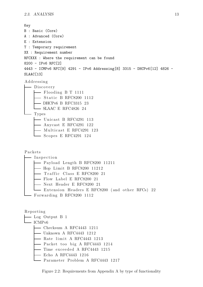```
Key
B : Basic (Core)
A : Advanced (Core)
E : Extension
T : Temporary requirement
XX : Requirement number
RFCXXX : Where the requirement can be found
8200 - IPv6 RFC[2]
4443 - ICMPv6 RFC[9] 4291 - IPv6 Addressing[8] 3315 - DHCPv6[12] 4826 -
SLAAC[13]
Addressing
 - Discovery
      - Flooding B T 1111
     - Static B RFC8200 1112
     DHCPv6 B RFC3315 23
    L SLAAC E RFC4826 24
  - Types
      - Unicast B RFC4291 113
      Anycast E RFC4291 122
     \longrightarrow Any successive RFC4291 123
     - Scopes E RFC4291 124
Packets
  - Inspection
     - Payload Length B RFC8200 11211
      - Hop Limit B RFC8200 11212
     \longrightarrow Traffic Class E RFC8200 21
       - Flow Label E RFC8200 21
       - Next Header E RFC8200 21
    Extension Headers E RFC8200 (and other RFCs) 22
   Forwarding B RFC8200 1112
Reporting
  Log Output B 1
  -ICMPv6Checksum A RFC4443 1211
     — Unknown A RFC4443 1212
```
- $-$  Rate limit A RFC4443 1213
- Packet too big A RFC4443 1214
- $-$  Time exceeded A RFC4443 1215
- Echo A RFC4443 1216
- <span id="page-12-0"></span>Parameter Problem A RFC4443 1217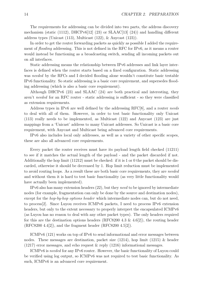The requirements for addressing can be divided into two parts, the address discovery mechanism (static (1112), DHCPv6[\[12\]](#page-39-12) (23) or SLAAC[\[13\]](#page-39-13) (24)) and handling different address types (Unicast (113), Multicast (122), & Anycast (123)).

In order to get the router forwarding packets as quickly as possible I added the requirement of flooding addressing. This is not defined in the RFC for IPv6, as it means a router would instead be functioning as a broadcasting switch, sending all incoming packets out on all interfaces.

Static addressing means the relationship between IPv6 addresses and link layer interfaces is defined when the router starts based on a fixed configuration. Static addressing was needed by the RFCs and I decided flooding alone wouldn't constitute basic testable IPv6 functionality. So static addressing is a basic core requirement, and supersedes flooding addressing (which is also a basic core requirement).

Although DHCPv6 (23) and SLAAC (24) are both practical and interesting, they aren't needed for an RFC router - static addressing is sufficient - so they were classified as extension requirements.

Address types in IPv6 are well defined by the addressing RFC[\[8\]](#page-39-8), and a router needs to deal with all of them. However, in order to test basic functionality only Unicast (113) really needs to be implemented, as Multicast (122) and Anycast (123) are just mappings from a 'Unicast' address to many Unicast addresses. So Unicast is a basic core requirement, with Anycast and Multicast being advanced core requirements.

IPv6 also includes local only addresses, as well as a variety of other specific scopes, these are also all advanced core requirements.

Every packet the router receives must have its payload length field checked (11211) to see if it matches the actual length of the payload - and the packet discarded if not. Additionally the hop limit (11212) must be checked: if it is 1 or 0 the packet should be discarded, otherwise it should be decreased by 1. Hop limit reduction must be implemented to avoid routing loops. As a result these are both basic core requirements, they are needed and without them it is hard to test basic functionality (as very little functionality would have actually been implemented).

IPv6 also has many extension headers (22), but they need to be ignored by intermediate nodes (for example, fragmentation can only be done by the source and destination nodes), except for the *hop-by-hop options header* which intermediate nodes can, but do not need, to process[\[2\]](#page-39-0). Since Luyou receives ICMPv6 packets, I need to process IPv6 extension headers, but only to the extent necessary to properly interpret the encapsulated ICMPv6 (as Luyou has no reason to deal with any other packet types). The only headers required for this are the destination options headers (RFC8200 4.3  $\&$  4.6[\[2\]](#page-39-0)), the routing header (RFC8200 4.4[\[2\]](#page-39-0)), and the fragment header (RFC8200 4.5[\[2\]](#page-39-0)).

ICMPv6 (121) works on top of IPv6 to send informational and error messages between nodes. These messages are destination, packet size (1214), hop limit (1215) & header (1217) error messages, and echo request & reply (1216) informational messages.

ICMPv6 is needed for any IPv6 router. However, the basic functionality of Luyou could be verified using log output, so ICMPv6 was not required to test basic functionality. As such, ICMPv6 is an advanced core requirement.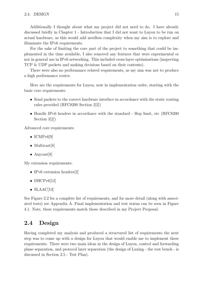Additionally I thought about what my project did not need to do. I have already discussed briefly in Chapter [1 - Introduction](#page-7-0) that I did not want to Luyou to be run on actual hardware, as this would add needless complexity when my aim is to explore and illuminate the IPv6 requirements.

For the sake of limiting the core part of the project to something that could be implemented in the time available, I also removed any features that were experimental or not in general use in IPv6 networking. This included cross-layer optimisations (inspecting TCP & UDP packets and making decisions based on their contents).

There were also no performance related requirements, as my aim was not to produce a high performance router.

Here are the requirements for Luyou, now in implementation order, starting with the basic core requirements:

- Send packets to the correct hardware interface in accordance with the static routing rules provided (RFC8200 Section 2[\[2\]](#page-39-0))
- Handle IPv6 headers in accordance with the standard Hop limit, etc (RFC8200) Section 3[\[2\]](#page-39-0))

Advanced core requirements:

- ICMP $v6[9]$  $v6[9]$
- Multicast<sup>[\[8\]](#page-39-8)</sup>
- Anycast<sup>[\[8\]](#page-39-8)</sup>

My extension requirements:

- IPv6 extension headers[\[2\]](#page-39-0)
- DHCP $v6[12]$  $v6[12]$
- $SLAAC[13]$  $SLAAC[13]$

See [Figure 2.2](#page-12-0) for a complete list of requirements, and for more detail (along with associated tests) see [Appendix A.](#page-41-0) Final implementation and test status can be seen in [Figure](#page-36-0) [4.1.](#page-36-0) Note, these requirements match those described in my Project Proposal.

### <span id="page-14-0"></span>2.4 Design

Having completed my analysis and produced a structured list of requirements the next step was to come up with a design for Luyou that would enable me to implement these requirements. There were two main ideas in the design of Luyou, control and forwarding plane separation, and protocol layer separation (the design of Luxing - the test bench - is discussed in Section [2.5 - Test Plan\)](#page-17-0).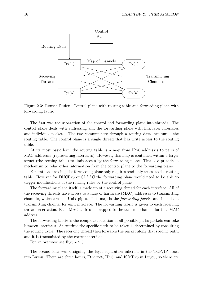

<span id="page-15-0"></span>Figure 2.3: Router Design: Control plane with routing table and forwarding plane with forwarding fabric

The first was the separation of the control and forwarding plane into threads. The control plane deals with addressing and the forwarding plane with link layer interfaces and individual packets. The two communicate through a routing data structure - the routing table. The control plane is a single thread that has write access to the routing table.

At its most basic level the routing table is a map from IPv6 addresses to pairs of MAC addresses (representing interfaces). However, this map is contained within a larger struct (the routing table) to limit access by the forwarding plane. This also provides a mechanism to relay other information from the control plane to the forwarding plane.

For static addressing, the forwarding plane only requires read-only access to the routing table. However for DHCPv6 or SLAAC the forwarding plane would need to be able to trigger modifications of the routing rules by the control plane.

The forwarding plane itself is made up of a receiving thread for each interface. All of the receiving threads have access to a map of hardware (MAC) addresses to transmitting channels, which are like Unix pipes. This map is the forwarding fabric, and includes a transmitting channel for each interface. The forwarding fabric is given to each receiving thread on creation. Each MAC address is mapped to the transmit channel for that MAC address.

The forwarding fabric is the complete collection of all possible paths packets can take between interfaces. At runtime the specific path to be taken is determined by consulting the routing table. The receiving thread then forwards the packet along that specific path, and it is transmitted by the correct interface.

For an overview see [Figure 2.3.](#page-15-0)

The second idea was designing the layer separation inherent in the TCP/IP stack into Luyou. There are three layers, Ethernet, IPv6, and ICMPv6 in Luyou, so there are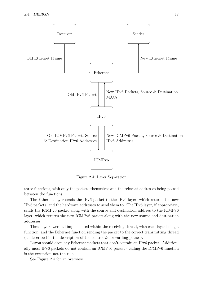

<span id="page-16-0"></span>Figure 2.4: Layer Separation

three functions, with only the packets themselves and the relevant addresses being passed between the functions.

The Ethernet layer sends the IPv6 packet to the IPv6 layer, which returns the new IPv6 packets, and the hardware addresses to send them to. The IPv6 layer, if appropriate, sends the ICMPv6 packet along with the source and destination address to the ICMPv6 layer, which returns the new ICMPv6 packet along with the new source and destination addresses.

These layers were all implemented within the receiving thread, with each layer being a function, and the Ethernet function sending the packet to the correct transmitting thread (as described in the description of the control & forwarding planes).

Luyou should drop any Ethernet packets that don't contain an IPv6 packet. Additionally most IPv6 packets do not contain an ICMPv6 packet - calling the ICMPv6 function is the exception not the rule.

See [Figure 2.4](#page-16-0) for an overview.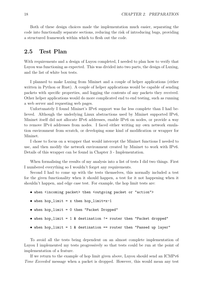Both of these design choices made the implementation much easier, separating the code into functionally separate sections, reducing the risk of introducing bugs, providing a structured framework within which to flesh out the code.

### <span id="page-17-0"></span>2.5 Test Plan

With requirements and a design of Luyou completed, I needed to plan how to verify that Luyou was functioning as expected. This was divided into two parts, the design of Luxing, and the list of white box tests.

I planned to make Luxing from Mininet and a couple of helper applications (either written in Python or Rust). A couple of helper applications would be capable of sending packets with specific properties, and logging the contents of any packets they received. Other helper applications would do more complicated end to end testing, such as running a web server and requesting web pages.

Unfortunately I found Mininet's IPv6 support was far less complete than I had believed. Although the underlying Linux abstractions used by Mininet supported IPv6, Mininet itself did not allocate IPv6 addresses, enable IPv6 on nodes, or provide a way to remove IPv4 addresses from nodes. I faced either writing my own network emulation environment from scratch, or developing some kind of modification or wrapper for Mininet.

I chose to focus on a wrapper that would intercept the Mininet functions I needed to use, and then modify the network environment created by Mininet to work with IPv6. Details of this wrapper can be found in Chapter [3 - Implementation.](#page-19-0)

When formalising the results of my analysis into a list of tests I did two things. First I numbered everything so I wouldn't forget any requirements.

Second I had to come up with the tests themselves, this normally included a test for the given functionality when it should happen, a test for it not happening when it shouldn't happen, and edge case test. For example, the hop limit tests are:

- when <incoming packet> then <outgoing packet or "action">
- when hop\_limit =  $x$  then hop\_limit= $x-1$
- when hop\_limit = 0 then "Packet Dropped"
- when hop\_limit = 1 & destination != router then "Packet dropped"
- when hop\_limit = 1 & destination == router then "Passed up layer"

To avoid all the tests being dependent on an almost complete implementation of Luyou I implemented my tests progressively so that tests could be run at the point of implementation of a feature.

If we return to the example of hop limit given above, Luyou should send an ICMPv6 Time Exceeded message when a packet is dropped. However, this would mean any test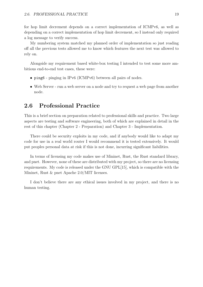for hop limit decrement depends on a correct implementation of ICMPv6, as well as depending on a correct implementation of hop limit decrement, so I instead only required a log message to verify success.

My numbering system matched my planned order of implementation so just reading off all the previous tests allowed me to know which features the next test was allowed to rely on.

Alongside my requirement based white-box testing I intended to test some more ambitious end-to-end test cases, these were:

- ping6 pinging in IPv6 (ICMPv6) between all pairs of nodes.
- Web Server run a web server on a node and try to request a web page from another node.

### <span id="page-18-0"></span>2.6 Professional Practice

This is a brief section on preparation related to professional skills and practice. Two large aspects are testing and software engineering, both of which are explained in detail in the rest of this chapter (Chapter [2 - Preparation\)](#page-9-0) and Chapter [3 - Implementation.](#page-19-0)

There could be security exploits in my code, and if anybody would like to adapt my code for use in a real world router I would recommend it is tested extensively. It would put peoples personal data at risk if this is not done, incurring significant liabilities.

In terms of licensing my code makes use of Mininet, Rust, the Rust standard library, and pnet. However, none of these are distributed with my project, so there are no licensing requirements. My code is released under the GNU GPL[\[15\]](#page-39-15), which is compatible with the Mininet, Rust & pnet Apache 2.0/MIT licenses.

I don't believe there are any ethical issues involved in my project, and there is no human testing.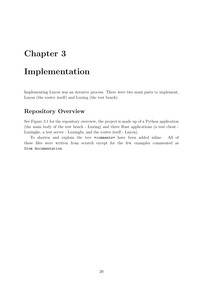## <span id="page-19-0"></span>Chapter 3

## Implementation

Implementing Luyou was an iterative process. There were two main parts to implement, Luyou (the router itself) and Luxing (the test bench).

### <span id="page-19-1"></span>Repository Overview

See [Figure 3.1](#page-20-0) for the repository overview, the project is made up of a Python application (the main body of the test bench - Luxing) and three Rust applications (a test client - Luxingke, a test server - Luxingfu, and the router itself - Luyou).

To shorten and explain the tree \*comments\* have been added inline. All of these files were written from scratch except for the few examples commented as from documentation.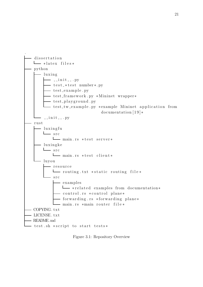

<span id="page-20-0"></span>Figure 3.1: Repository Overview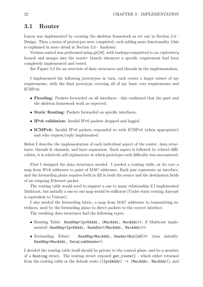### <span id="page-21-0"></span>3.1 Router

Luyou was implemented by creating the skeleton framework as set out in Section [2.4 -](#page-14-0) [Design.](#page-14-0) Then a series of prototypes were completed, each adding more functionality (this is explained in more detail in Section [3.3 - Analysis\)](#page-31-0).

Version control was performed using git[\[16\]](#page-39-16), with backups committed to an *exploratory* branch and merges into the master branch whenever a specific requirement had been completely implemented and tested.

See [Figure 3.2](#page-22-0) for an overview of data structures and threads in the implementation.

I implemented the following prototypes in turn, each covers a larger subset of my requirements, with the final prototype covering all of my basic core requirements and ICMPv6:

- Flooding: Packets forwarded on all interfaces this confirmed that the pnet and the skeleton framework work as expected.
- Static Routing: Packets forwarded on specific interfaces.
- IPv6 validation: Invalid IPv6 packets dropped and logged.
- **ICMPv6:** Invalid IPv6 packets responded to with ICMPv6 (when appropriate) and echo request/reply implemented.

Below I describe the implementation of each individual aspect of the router: data structures, threads & channels, and layer separation. Each aspect is followed by related difficulties, it is relatively self explanatory at which prototype each difficulty was encountered.

First I designed the data structures needed. I needed a routing table, at its core a map from IPv6 addresses to pairs of MAC addresses. Each pair represents an interface, and the forwarding plane requires both to fill in both the source and the destination fields of an outgoing Ethernet packet.

The routing table would need to support a one to many relationship if I implemented Multicast, but initially a one to one map would be sufficient (Under static routing Anycast is equivalent to Unicast).

I also needed the forwarding fabric, a map from MAC addresses to transmitting interfaces, used by the forwarding plane to direct packets to the correct interface.

The resulting data structures had the following types:

- Routing Table: HashMap<Ipv6Addr, (MacAddr, MacAddr)>, if Multicast implemented: HashMap<Ipv6Addr, HashSet<(MacAddr, MacAddr)>>
- Forwarding Fabric: HashMap<MacAddr, Sender<Box[u8]>> (was initially: HashMap<MacAddr, DataLinkSender>)

I decided the routing table itself should be private to the control plane, and be a member of a Routing struct. The routing struct exposed get\_route() - which either returned from the routing table or the default route ((Ipv6Addr) -> (MacAddr, MacAddr)), and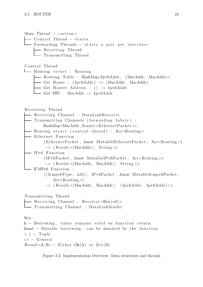Main Thread  $-$  <action >

- Control Thread − starts

— Forwarding Threads – starts a pair per interface

- Receiving Thread

 $\Box$  Transmitting Thread

Control Thread

 $L$  Routing struct : Routing

- Routing Table : HashMap<Ipv6Addr , (MacAddr , MacAddr)>
- Get Route : ( Ipv6Addr ) −> (MacAddr , MacAddr )
- Get Router Address : ()  $\rightarrow$  Ipv6Addr
- Get MTU : MacAddr −> Ipv6Addr

Receiving Thread

- Receiving Channel : DataLinkReceiver - Transmitting Channels (forwarding fabric) : HashMap<MacAddr, Sender<EthernetPacket>> - Routing struct (control thread) : Arc<Routing> - Ethernet Function :  $( EthernetPacket, \&mut \ Mutable EthernetPacket, Arc\&OutputStream)$  $\rightarrow$  (Result <(MacAddr), String >)  $-$  IPv6 Function :  $( IPv6Packet, \; \&\text{mut MutableIP}v6Packet, \; Arc\&\text{Putting}$  $\rightarrow$  (Result <(MacAddr, MacAddr), String >) ICMPv6 Function :  $((\text{Tempv6Type}, u32), \text{IPv6Packet}, \text{kmut MutableTempv6Packet},$  $Arc <$ Routing  $>$ )  $\rightarrow$  (Result <(MacAddr, MacAddr), (Ipv6Addr, Ipv6Addr)>) Transmitting Thread - Receiving Channel : Receiver<Box[u8]> - Transmitting Channel : DataLinkSender

Key :  $& -$  Borrowing, value remains valid on function return  $\&$ mut – Mutable borrowing, can be mutated by the function  $($ ,  $)$  – Tuple  $\leftarrow$  - Generic  $Result < A, B > - Either Ok(A)$  or  $Err(B)$ 

<span id="page-22-0"></span>Figure 3.2: Implementation Overview: Data structures and threads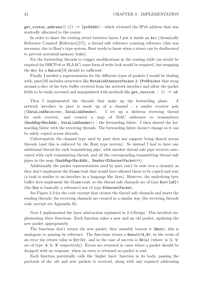get\_router\_address() (() -> Ipv6Addr) - which returned the IPv6 address that was statically allocated to the router.

In order to share the routing struct between layers I put it inside an Arc (Atomically Reference Counted [Reference][\[17\]](#page-39-17)), a thread safe reference counting reference (this was necessary due to Rust's type system, Rust needs to know when a struct can be deallocated to prevent potential memory leaks).

For the forwarding threads to trigger modifications in the routing table (as would be required for DHCPv6 or SLAAC) some form of write lock would be required, but swapping the Arc for a RwLock[\[18\]](#page-40-0) should be sufficient.

Finally I needed a representation for the different types of packets I would be dealing with, pnet [\[10\]](#page-39-10) includes structures like MutableEthernetPacket & IPv6Packet that wrap around a slice of the byte buffer received from the network interface and allow the packet fields to be easily accessed and manipulated with methods like get version : ()  $\rightarrow$  u4.

Then I implemented the threads that make up the forwarding plane. A network interface in pnet is made up of a channel - a sender receiver pair ((DataLinkReceiver, DataLinkSender). I set up a skeleton receiving thread for each receiver, and created a map of MAC addresses to transmitters (HashMap<MacAddr, DataLinkSender>) - the forwarding fabric. I then shared the forwarding fabric with the receiving threads. The forwarding fabric doesn't change so it can be safely copied across threads.

Unfortunately the channel type used by pnet does not support being shared across threads (and this is enforced by the Rust type system). So instead I had to have one additional thread for each transmitting pipe, with another thread safe pipe receiver associated with each transmitting thread, and all the corresponding transmitting thread safe pipes in the map (HashMap<MacAddr, Sender<EthernetPacket>>).

Additionally the packet representations used by pnet can't be sent over a channel, as they don't implement the Clone trait that would have allowed them to be copied and sent (a trait is similar to an interface in a language like Java). However, the underlying byte buffer does implement the Clone trait, so the thread safe channels are of type Box<[u8]> (the Box is basically a reference) not of type EthernetPacket.

See [Figure 3.3](#page-24-0) for the code excerpt that creates the thread safe channels and starts the sending threads, the receiving channels are created in a similar way (for receiving threads code excerpt see [Appendix B\)](#page-46-0)

Next I implemented the layer abstraction explained in [2.4-Design.](#page-14-0) This involved implementing three functions. Each function takes a new and an old packet, updating the new packet appropriately.

The functions don't return the new packet, they mutably borrow it (&mut), this is analogous to passing by reference. The functions return a Result<A,B>, in the event of an error the return value is  $Err(b)$ , and in the case of success is  $Ok(a)$  (where 'a' & 'b' are of type 'A' & 'B' respectively). Errors are returned in cases where a packet should be dropped with no response, when an error is returned no packet is sent.

Each function potentially calls the 'higher layer' function in its body, passing the payloads of the old and new packets it received, along with any required addressing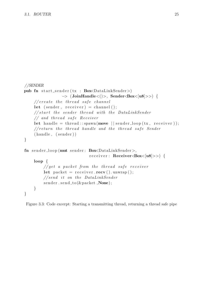```
//SENDER
pub fn start_sender (tx : Box\text{-}Data\text{-}links\text{-}ender)
                  \rightarrow (JoinHandle <()>, Sender <Box < |u8|>>) {
    // create the thread safe channellet (sender, receiver) = channel ();
    // start the sender thread with the DataLinkSender// and thread safe Receiver
    let handle = thread :: \text{spam}(\text{move} \mid \text{sender\_loop}(\text{tx}, \text{ receiver}));// return the thread handle and the thread safe.(handle, (sender))}
fn sender_loop(mut sender: Box<DataLinkSender>,
                               receiver: Receiver<Box<[u8]>>) {
    loop {
         1 get a packet from the thread safe receiver
         let packet = receiver \t. recv() \t. unwrap();// send it on the DataLinkSender
         sender.send_to(&packet, None);}
}
```
<span id="page-24-0"></span>Figure 3.3: Code excerpt: Starting a transmitting thread, returning a thread safe pipe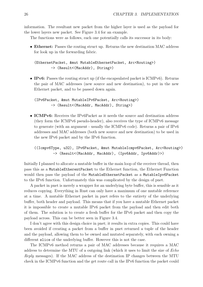information. The resultant new packet from the higher layer is used as the payload for the lower layers new packet. See [Figure 3.4](#page-27-0) for an example.

The functions were as follows, each one potentially calls its successor in its body:

• Ethernet: Passes the routing struct up. Returns the new destination MAC address for look up in the forwarding fabric.

(EthernetPacket, &mut MutableEthernetPacket, Arc<Routing>) -> (Result<(MacAddr), String>)

• **IPv6:** Passes the routing struct up (if the encapsulated packet is ICMPv6). Returns the pair of MAC addresses (new source and new destination), to put in the new Ethernet packet, and to be passed down again.

(IPv6Packet, &mut MutableIPv6Packet, Arc<Routing>) -> (Result<(MacAddr, MacAddr), String>)

• **ICMPv6:** Receives the IPv6Packet as it needs the source and destination address (they form the ICMPv6 pseudo-header), also receives the type of ICMPv6 message to generate (with an argument - usually the ICMPv6 code). Returns a pair of IPv6 addresses and MAC addresses (both new source and new destination) to be used in the new IPv6 packet and by the IPv6 function.

((Icmpv6Type, u32), IPv6Packet, &mut MutableIcmpv6Packet, Arc<Routing>) -> (Result<(MacAddr, MacAddr), (Ipv6Addr, Ipv6Addr)>)

Initially I planned to allocate a mutable buffer in the main loop of the receiver thread, then pass this as a MutableEtherentPacket to the Ethernet function, the Ethernet Function would then pass the payload of the MutableEthernetPacket as a MutableIpv6Packet to the IPv6 function. Unfortunately this was complicated by the design of pnet.

A packet in pnet is merely a wrapper for an underlying byte buffer, this is sensible as it reduces copying. Everything in Rust can only have a maximum of one mutable reference at a time. A mutable Ethernet packet in pnet refers to the entirety of the underlying buffer, both header and payload. This means that if you have a mutable Ethernet packet it is impossible to create a mutable IPv6 packet from the payload and then edit both of them. The solution is to create a fresh buffer for the IPv6 packet and then copy the payload across. This can be better seen in [Figure 3.4.](#page-27-0)

I don't agree with this design choice in pnet; it results in extra copies. This could have been avoided if creating a packet from a buffer in pnet returned a tuple of the header and the payload, allowing them to be owned and mutated separately, with each owning a different slice of the underlying buffer. However this is not the case.

The ICMPv6 method returns a pair of MAC addresses because it requires a MAC address to determine the MTU of a outgoing link (which it uses to limit the size of Echo Reply messages). If the MAC address of the destination IP changes between the MTU check in the ICMPv6 function and the get route call in the IPv6 function the packet could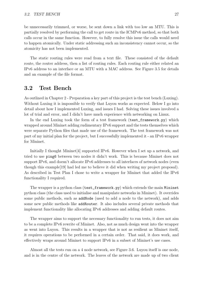be unnecessarily trimmed, or worse, be sent down a link with too low an MTU. This is partially resolved by performing the call to get route in the ICMPv6 method, so that both calls occur in the same function. However, to fully resolve this issue the calls would need to happen atomically. Under static addressing such an inconsistency cannot occur, so the atomicity has not been implemented.

The static routing rules were read from a text file. These consisted of the default route, the router address, then a list of routing rules. Each routing rule either related an IPv6 address to an interface or an MTU with a MAC address. See [Figure 3.5](#page-28-0) for details and an example of the file format.

### <span id="page-26-0"></span>3.2 Test Bench

As outlined in Chapter [2 - Preparation](#page-9-0) a key part of this project is the test bench (Luxing). Without Luxing it is impossible to verify that Luyou works as expected. Below I go into detail about how I implemented Luxing, and issues I had. Solving these issues involved a lot of trial and error, and I didn't have much experience with networking on Linux.

In the end Luxing took the form of a test framework (test\_framework.py) which wrapped around Mininet adding rudimentary IPv6 support and the tests themselves which were separate Python files that made use of the framework. The test framework was not part of my initial plan for the project, but I successfully implemented it - an IPv6 wrapper for Mininet.

Initially I thought Mininet[\[4\]](#page-39-2) supported IPv6. However when I set up a network, and tried to use ping6 between two nodes it didn't work. This is because Mininet does not support IPv6, and doesn't allocate IPv6 addresses to all interfaces of network nodes (even though this example[\[19\]](#page-40-1) had led me to believe it did when writing my project proposal). As described in [Test Plan](#page-17-0) I chose to write a wrapper for Mininet that added the IPv6 functionality I required.

The wrapper is a python class (test\_framework.py) which extends the main Mininet python class (the class used to initialise and manipulate networks in Mininet). It overrides some public methods, such as addNode (used to add a node to the network), and adds some new public methods like addRouter. It also includes several private methods that implement functionality like allocating IPv6 addresses and adding default routes.

The wrapper aims to support the necessary functionality to run tests, it does not aim to be a complete IPv6 rewrite of Mininet. Also, not as much design went into the wrapper as went into Luyou. This results in a wrapper that is not as resilient as Mininet itself, it requires operations to be performed in a certain order. That said, it does work, and effectively wraps around Mininet to support IPv6 in a subset of Mininet's use cases.

Almost all the tests run on a 4 node network, see [Figure 3.6.](#page-29-0) Luyou itself is one node, and is in the centre of the network. The leaves of the network are made up of two client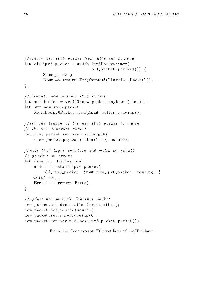```
// create old IPv6 packet from Ethernet payloadlet old_ipv6_packet = match Ipv6Packet ::new(
                               old-packet . payload () {
        \text{Some}(\text{p}) \Rightarrow \text{p},
        None \Rightarrow return Err (format! ("Invalid Packet")),
\};
//allocate new mutable IPv6 Packet
let mut buffer = vec! [0; new_packet . payload (). len ()];
let mut new_i pv_0_packet =Mutable Ipv6Packet:: new(kmut buffer).unwrap();
// set the length of the new IPv6 packet to match// the new Ethernet packetnew_ipv6_packet.set_payload_length(
    (new packet . payload () . len () -40) as u16;
// call IPv6 layer function and match on result// passing on errors
let (source, destination) =
    match transform_ipv6-packet(
         old_ipv6_packet, \&mut new_ipv6_packet, routing) {
    Ok(p) \Rightarrow p,Err(e) \Rightarrow return Err(e),
\};
// update new mutable Ethernet packetnew_packet.set_destination (destination);
new_packet.set_source (source);
new packet . set _et hertype (Ipv6);new_packet.set_payload(new_ipv6_packet.packet());
```
<span id="page-27-0"></span>Figure 3.4: Code excerpt: Ethernet layer calling IPv6 layer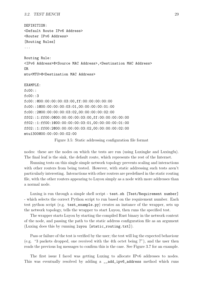#### 3.2. TEST BENCH 29

```
DEFINITION:
<Default Route IPv6 Address>
<Router IPv6 Address>
[Routing Rules]
...
Routing Rule:
<IPv6 Address>@<Source MAC Address>,<Destination MAC Address>
OR
mtu<MTU>@<Destination MAC Address>
EXAMPLE:
fc00::
fc00:3fc00::@00:00:00:00:03:00,ff:00:00:00:00:00
fc00::1@00:00:00:00:03:01,00:00:00:00:01:00
fc00::2@00:00:00:00:03:02,00:00:00:00:02:00
ff02::1:ff00:0@00:00:00:00:03:00,ff:00:00:00:00:00
ff02::1:ff00:1@00:00:00:00:03:01,00:00:00:00:01:00
ff02::1:ff00:2@00:00:00:00:03:02,00:00:00:00:02:00
mtu1300@00:00:00:00:02:00
```
<span id="page-28-0"></span>Figure 3.5: Static addressing configuration file format

nodes: these are the nodes on which the tests are run (using Luxingke and Luxingfu). The final leaf is the sink, the default route, which represents the rest of the Internet.

Running tests on this single simple network topology prevents scaling and interactions with other routers from being tested. However, with static addressing such tests aren't particularly interesting. Interactions with other routers are predefined in the static routing file, with the other routers appearing to Luyou simply as a node with more addresses than a normal node.

Luxing is run through a simple shell script - test.sh [Test/Requirement number] - which selects the correct Python script to run based on the requirement number. Each test python script (e.g. test\_example.py) creates an instance of the wrapper, sets up the network topology, tells the wrapper to start Luyou, then runs the specified test.

The wrapper starts Luyou by starting the compiled Rust binary in the network context of the node, and passing the path to the static address configuration file as an argument (Luxing does this by running luyou [static\_routing.txt]).

Pass or failure of the test is verified by the user; the test will log the expected behaviour (e.g. "3 packets dropped, one received with the 4th octet being 7"), and the user then reads the previous log messages to confirm this is the case. See [Figure 3.7](#page-29-1) for an example.

The first issue I faced was getting Luxing to allocate IPv6 addresses to nodes. This was eventually resolved by adding a \_\_add\_ipv6\_address method which runs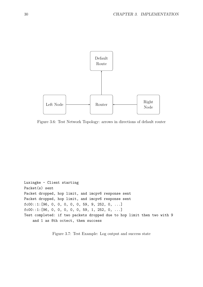

<span id="page-29-0"></span>Figure 3.6: Test Network Topology: arrows in directions of default router

Luxingke - Client starting Packet(s) sent Packet dropped, hop limit, and imcpv6 response sent Packet dropped, hop limit, and imcpv6 response sent  $fc00::1:[96, 0, 0, 0, 0, 0, 59, 9, 252, 0, ...]$ fc00::1:[96, 0, 0, 0, 0, 0, 59, 1, 252, 0, ...] Test completed: if two packets dropped due to hop limit then two with 9 and 1 as 8th octect, then success

<span id="page-29-1"></span>Figure 3.7: Test Example: Log output and success state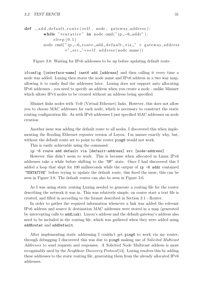def \_\_add\_default\_route(self, node, gateway\_address): while "tentative" in node.cmd("ip  $-6$ -addr"):  $s$  leep  $(0.1)$ node . cmd ("ip \_-6\_route \_add\_default \_via \_" + gateway \_address  $+$ " $\text{c}$  s r c  $\text{c}$ " $+$ s e l f  $\text{.}$  a d d r e s s (node  $\text{.}$  name))

<span id="page-30-0"></span>Figure 3.8: Waiting for IPv6 addresses to be up before updating default route

ifconfig [interface-name] inet6 add [address] and then calling it every time a node was added. Luxing then stores the node name and IPv6 address in a two way map, allowing it to easily find the addresses later. Luxing does not support auto allocating IPv6 addresses - you need to specify an address when you create a node - unlike Mininet which allows IPv4 nodes to be created without an address being specified.

Mininet links nodes with Veth (Virtual Ethernet) links. However, this does not allow you to choose MAC addresses for each node, which is necessary to construct the static routing configuration file. As with IPv6 addresses I just specified MAC addresses on node creation.

Another issue was adding the default route to all nodes, I discovered this when implementing the flooding Ethernet repeater version of Luyou. I'm unsure exactly why, but, without the default route set to point to the router ping6 would not work.

This is easily achievable using the command:

ip -6 route add default via [default-address] src [node-address]

However this didn't seem to work. This is because when allocated in Linux IPv6 addresses take a while before shifting to the "UP" state. Once I had discovered this I added a loop that slept for 100 milliseconds while the output of  $ip -6$  addr contained "TENTATIVE" before trying to update the default route, this fixed the issue, this can be seen in [Figure 3.8.](#page-30-0) The default routes can also be seen in [Figure 3.6.](#page-29-0)

As I was using static routing Luxing needed to generate a routing file for the router describing the network it was in. This was relatively simple, on router start a text file is created, and filled in according to the format described in Section [3.1 - Router.](#page-21-0)

In order to gather the required information whenever a link was added the relevant IPv6 address and source & destination MAC addresses were stored in a map (generated by intercepting calls to addLink). Luyou's address and the default gateway's address also need to be included in the routing file, which was gathered when they were added using addRouter and addDefault.

After implementing static addressing I couldn't get ping6 to work via my router, through debugging I discovered this was due to ping6 making use of *Solicited Multicast* Addresses to send requests and responses. A Solicited Node Multicast address is most recognisably used by the Neighbour Discovery Protocol[\[14\]](#page-39-14). Luxing resolves this by adding these addresses to the static routing file, generating them from the already allocated IPv6 addresses.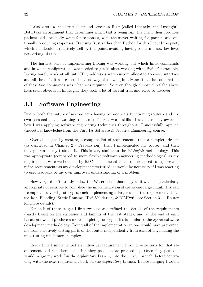I also wrote a small test client and server in Rust (called Luxingke and Luxingfu). Both take an argument that determines which test is being run, the client then produces packets and optionally waits for responses, with the server waiting for packets and optionally producing responses. By using Rust rather than Python for this I could use pnet, which I understood relatively well by this point, avoiding having to learn a new low level networking library.

The hardest part of implementing Luxing was working out which linux commands and in which configurations was needed to get Mininet working with IPv6. For example, Luxing barely work at all until IPv6 addresses were custom allocated to every interface and all the default routes set. I had no way of knowing in advance that the combination of these two commands was what was required. So even though almost all of the above fixes seem obvious in hindsight, they took a lot of careful trial and error to discover.

### <span id="page-31-0"></span>3.3 Software Engineering

Due to both the nature of my project - having to produce a functioning router - and my own personal goals - wanting to learn useful real world skills - I was extremely aware of how I was applying software engineering techniques throughout. I successfully applied theoretical knowledge from the Part 1A Software & Security Engineering course.

Overall I began by creating a complete list of requirements, then a complete design (as described in Chapter [2 - Preparation\)](#page-9-0), then I implemented my router, and then finally I ran all my tests on it. This is very similar to the Waterfall methodology. This was appropriate (compared to more flexible software engineering methodologies) as my requirements were well defined by RFCs. This meant that I did not need to explore and refine requirements as my development progressed, as would be necessary if I was reacting to user feedback or my own improved understanding of a problem.

However, I didn't strictly follow the Waterfall methodology as it was not particularly appropriate or sensible to complete the implementation stage as one large chunk. Instead I completed several prototypes, each implementing a larger set of the requirements than the last (Flooding, Static Routing, IPv6 Validation, & ICMPv6 - see Section [3.1 - Router](#page-21-0) for more details).

For each of these stages I first tweaked and refined the details of the requirements (partly based on the successes and failings of the last stage), and at the end of each iteration I would produce a more complete prototype, this is similar to the Spiral software development methodology. Doing all of the implementation in one would have prevented me from effectively testing parts of the router independently from each other, making the final testing much more complex.

Every time I implemented an individual requirement I would write tests for that requirement and run them (ensuring they pass) before proceeding. Once they passed I would merge my work (on the *exploratory* branch) into the *master* branch, before continuing with the next requirement back on the exploratory branch. Before merging I would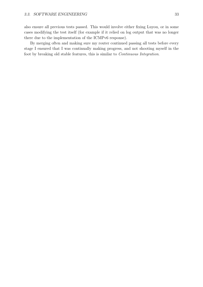also ensure all previous tests passed. This would involve either fixing Luyou, or in some cases modifying the test itself (for example if it relied on log output that was no longer there due to the implementation of the ICMPv6 response).

By merging often and making sure my router continued passing all tests before every stage I ensured that I was continually making progress, and not shooting myself in the foot by breaking old stable features, this is similar to Continuous Integration.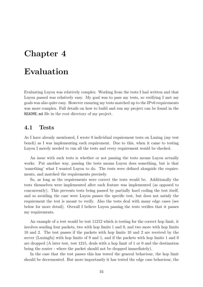## <span id="page-33-0"></span>Chapter 4

## Evaluation

Evaluating Luyou was relatively complex. Working from the tests I had written and that Luyou passed was relatively easy. My goal was to pass my tests, so verifying I met my goals was also quite easy. However ensuring my tests matched up to the IPv6 requirements was more complex. Full details on how to build and run my project can be found in the README.md file in the root directory of my project.

#### <span id="page-33-1"></span>4.1 Tests

As I have already mentioned, I wrote 9 individual requirement tests on Luxing (my test bench) as I was implementing each requirement. Due to this, when it came to testing Luyou I merely needed to run all the tests and every requirement would be checked.

An issue with such tests is whether or not passing the tests means Luyou actually works. Put another way, passing the tests means Luyou does something, but is that 'something' what I wanted Luyou to do. The tests were defined alongside the requirements, and matched the requirements precisely.

So, as long as the requirements were correct the tests would be. Additionally the tests themselves were implemented after each feature was implemented (as opposed to concurrently). This prevents tests being passed by partially hard coding the test itself, and so avoiding the case were Luyou passes the specific test, but does not satisfy the requirement the test is meant to verify. Also the tests deal with many edge cases (see below for more detail). Overall I believe Luyou passing the tests verifies that it passes my requirements.

An example of a test would be test 11212 which is testing for the correct hop limit, it involves sending four packets, two with hop limits 1 and 0, and two more with hop limits 10 and 2. The test passes if the packets with hop limits 10 and 2 are received by the server (Luxingfu) with hop limits of 9 and 1, and if the packets with hop limits 1 and 0 are dropped (A later test, test 1215, deals with a hop limit of 1 or 0 and the destination being the router - where the packet should not be dropped immediately).

In the case that the test passes this has tested the general behaviour, the hop limit should be decremented. But more importantly it has tested the edge case behaviour, the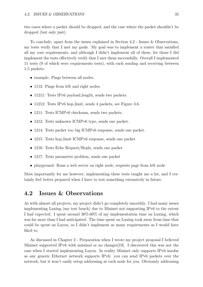two cases where a packet should be dropped, and the case where the packet shouldn't be dropped (but only just).

To conclude, apart from the issues explained in Section [4.2 - Issues & Observations,](#page-34-0) my tests verify that I met my goals. My goal was to implement a router that satisfied all my core requirements, and although I didn't implement all of these, for those I did implement the tests effectively verify that I met them successfully. Overall I implemented 11 tests (9 of which were requirements tests), with each sending and receiving between 1-5 packets.

- example: Pings between all nodes.
- 1112: Pings from left and right nodes.
- 11211: Tests IPv6 payload length, sends two packets.
- 11212: Tests IPv6 hop limit, sends 4 packets, see [Figure](#page-29-1) [3.6.](#page-29-0)
- 1211: Tests ICMPv6 checksum, sends two packets.
- 1212: Tests unknown ICMPv6 type, sends one packet.
- 1214: Tests packet too big ICMPv6 response, sends one packet.
- 1215: Tests hop\_limit ICMPv6 response, sends one packet
- 1216: Tests Echo Request/Reply, sends one packet
- 1217: Tests parameter problem, sends one packet
- playground: Runs a web server on right node, requests page from left node

Most importantly for me however, implementing these tests taught me a lot, and I certainly feel better prepared when I have to test something extensively in future.

### <span id="page-34-0"></span>4.2 Issues & Observations

As with almost all projects, my project didn't go completely smoothly. I had many issues implementing Luxing (my test bench) due to Mininet not supporting IPv6 to the extent I had expected. I spent around 30%-60% of my implementation time on Luxing, which was far more than I had anticipated. The time spent on Luxing took away from time that could be spent on Luyou, so I didn't implement as many requirements as I would have liked to.

As discussed in Chapter [2 - Preparation](#page-9-0) when I wrote my project proposal I believed Mininet supported IPv6 with minimal or no changes[\[19\]](#page-40-1). I discovered this was not the case when I started implementing Luyou. In reality Mininet only supports IPv6 insofar as any generic Ethernet network supports IPv6: you can send IPv6 packets over the network, but it won't easily setup addressing at each node for you. Obviously addressing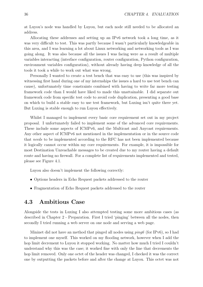at Luyou's node was handled by Luyou, but each node still needed to be allocated an address.

Allocating these addresses and setting up an IPv6 network took a long time, as it was very difficult to test. This was partly because I wasn't particularly knowledgeable in this area, and I was learning a lot about Linux networking and networking tools as I was going along. It was also because all the issues I was facing were as a result of multiple variables interacting (interface configuration, router configuration, Python configuration, environment variables configuration), without already having deep knowledge of all the tools it took a while to work out what was wrong.

Personally I wanted to create a test bench that was easy to use (this was inspired by witnessing first hand during one of my internships the issues a hard to use test bench can cause), unfortunately time constraints combined with having to write far more testing framework code than I would have liked to made this unattainable. I did separate out framework code from specific test code to avoid code duplication, presenting a good base on which to build a stable easy to use test framework, but Luxing isn't quite there yet. But Luxing is stable enough to run Luyou effectively.

Whilst I managed to implement every basic core requirement set out in my project proposal. I unfortunately failed to implement some of the advanced core requirements. These include some aspects of ICMPv6, and the Multicast and Anycast requirements. Any other aspect of ICMPv6 not mentioned in the implementation or in the source code that needs to be implemented according to the RFC has not been implemented because it logically cannot occur within my core requirements. For example, it is impossible for most Destination Unreachable messages to be created due to my router having a default route and having no firewall. For a complete list of requirements implemented and tested, please see [Figure 4.1.](#page-36-0)

Luyou also doesn't implement the following correctly:

- Options headers in Echo Request packets addressed to the router
- Fragmentation of Echo Request packets addressed to the router

### <span id="page-35-0"></span>4.3 Ambitious Case

Alongside the tests in Luxing I also attempted testing some more ambitious cases (as described in Chapter [2 - Preparation.](#page-9-0) First I tried 'pinging' between all the nodes, then secondly I tried running a web server on one node and serving a web page.

Mininet did not have an method that pinged all nodes using  $pinq6$  (for IPv6), so I had to implement one myself. This worked on my flooding network, however when I add the hop limit decrement to Luyou it stopped working. No matter how much I tried I couldn't understand why this was the case; it worked fine with only the line that decrements the hop limit removed. Only one octet of the header was changed, I checked it was the correct one by outputting the packets before and after the change at Luyou. This octet was not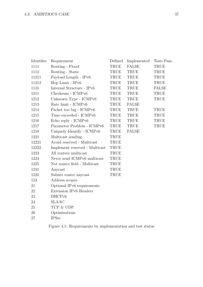| Identifier | Requirement                    | Defined     | Implemented   | Tests Pass   |
|------------|--------------------------------|-------------|---------------|--------------|
| 1111       | Routing - Flood                | TRUE        | ${\rm FALSE}$ | TRUE         |
| 1112       | Routing - Static               | TRUE        | TRUE          | <b>TRUE</b>  |
| 11211      | Payload Length - IPv6          | TRUE        | <b>TRUE</b>   | TRUE         |
| 11212      | Hop Limit - IPv6               | TRUE        | TRUE          | TRUE         |
| 1131       | Internal Structure - IPv6      | TRUE        | TRUE          | <b>FALSE</b> |
| 1211       | Checksum - ICMPv6              | TRUE        | <b>TRUE</b>   | TRUE         |
| 1212       | Unknown Type - ICMPv6          | TRUE        | TRUE          | <b>TRUE</b>  |
| 1213       | Rate limit - ICMPv6            | TRUE        | <b>FALSE</b>  |              |
| 1214       | Packet too big - ICMPv6        | TRUE        | TRUE          | TRUE         |
| 1215       | Time exceeded - ICMPv6         | TRUE        | TRUE          | TRUE         |
| 1216       | Echo reply - ICMPv6            | TRUE        | <b>TRUE</b>   | TRUE         |
| 1217       | Parameter Problem - ICMPv6     | TRUE        | <b>TRUE</b>   | TRUE         |
| 1218       | Uniquely Identify - ICMPv6     | TRUE        | <b>FALSE</b>  |              |
| 1221       | Multicast sending              | TRUE        |               |              |
| 12221      | Avoid reserved - Multicast     | TRUE        |               |              |
| 12222      | Implement reserved - Multicast | TRUE        |               |              |
| 1223       | All routers multicast          | TRUE        |               |              |
| 1224       | Never send ICMPv6 multicast    | <b>TRUE</b> |               |              |
| 1225       | Not source field - Multicast   | <b>TRUE</b> |               |              |
| 1231       | Anycast                        | TRUE        |               |              |
| 1232       | Subnet router any cast         | TRUE        |               |              |
| 124        | Address scopes                 |             |               |              |
| 21         | Optional IPv6 requirements     |             |               |              |
| 22         | Extension IPv6 Headers         |             |               |              |
| 23         | DHCPv6                         |             |               |              |
| 24         | <b>SLAAC</b>                   |             |               |              |
| 25         | TCP & UDP                      |             |               |              |
| 26         | Optimisations                  |             |               |              |
| 27         | <b>IPSec</b>                   |             |               |              |
|            |                                |             |               |              |

<span id="page-36-0"></span>Figure 4.1: Requirements by implementation and test status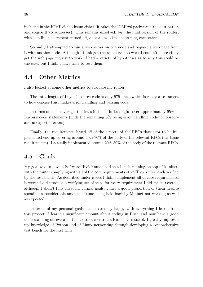included in the ICMPv6 checksum either (it takes the ICMPv6 packet and the destination and source IPv6 addresses). This remains unsolved, but the final version of the router, with hop limit decrement turned off, does allow all nodes to ping each other.

Secondly I attempted to run a web server on one node and request a web page from it with another node. Although I think got the web server to work I couldn't successfully get the web page request to work. I had a variety of hypotheses as to why this could be the case, but I didn't have time to test them.

### <span id="page-37-0"></span>4.4 Other Metrics

I also looked at some other metrics to evaluate my router.

The total length of Luyou's source code is only 575 lines, which is really a testament to how concise Rust makes error handling and parsing code.

In terms of code coverage, the tests included in Luxingfu cover approximately 95% of Luyou's code statements (with the remaining 5% being error handling code for obscure and unexpected errors).

Finally, the requirements based off of the aspects of the RFCs that need to be implemented end up covering around 40%-70% of the body of the relevant RFCs (my basic requirements). I actually implemented around 20%-50% of the body of the relevant RFCs.

### <span id="page-37-1"></span>4.5 Goals

My goal was to have a Software IPv6 Router and test bench running on top of Mininet, with the router complying with all of the core requirements of an IPv6 router, each verified by the test bench. As described under issues I didn't implement all of core requirements, however I did produce a verifying set of tests for every requirement I did meet. Overall, although I didn't fully meet my formal goals, I met a good proportion of them despite spending a considerable amount of time being held back by Mininet not working as well as expected.

In terms of my personal goals I am extremely happy with everything I learnt from this project. I learnt a significant amount about coding in Rust, and now have a good understanding of several of the abstract constructs Rust makes use of. I greatly improved my knowledge of Python and of Linux networking through developing a comprehensive test bench for the first time.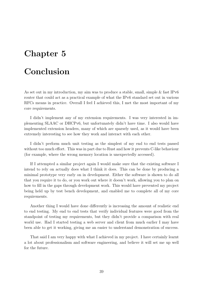## <span id="page-38-0"></span>Chapter 5

## Conclusion

As set out in my introduction, my aim was to produce a stable, small, simple & fast IPv6 router that could act as a practical example of what the IPv6 standard set out in various RFCs means in practice. Overall I feel I achieved this, I met the most important of my core requirements.

I didn't implement any of my extension requirements. I was very interested in implementing SLAAC or DHCPv6, but unfortunately didn't have time. I also would have implemented extension headers, many of which are sparsely used, as it would have been extremely interesting to see how they work and interact with each other.

I didn't perform much unit testing as the simplest of my end to end tests passed without too much effort. This was in part due to Rust and how it prevents C-like behaviour (for example, where the wrong memory location is unexpectedly accessed).

If I attempted a similar project again I would make sure that the existing software I intend to rely on actually does what I think it does. This can be done by producing a minimal prototype very early on in development. Either the software is shown to do all that you require it to do, or you work out where it doesn't work, allowing you to plan on how to fill in the gaps through development work. This would have prevented my project being held up by test bench development, and enabled me to complete all of my core requirements.

Another thing I would have done differently is increasing the amount of realistic end to end testing. My end to end tests that verify individual features were good from the standpoint of testing my requirements, but they didn't provide a comparison with real world use. Had I started testing a web server and client from much earlier I may have been able to get it working, giving me an easier to understand demonstration of success.

That said I am very happy with what I achieved in my project. I have certainly learnt a lot about professionalism and software engineering, and believe it will set me up well for the future.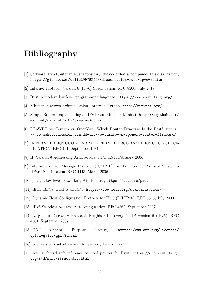## <span id="page-39-4"></span>Bibliography

- <span id="page-39-3"></span>[1] Software IPv6 Router in Rust repository, the code that accompanies this dissertation, <https://github.com/ollie299792458/dissertation-rust-ipv6-router>
- <span id="page-39-0"></span>[2] Internet Protocol, Version 6 (IPv6) Specification, [RFC 8200,](https://tools.ietf.org/html/rfc8200) July 2017
- <span id="page-39-1"></span>[3] Rust, a modern low level programming language, <https://www.rust-lang.org/>
- <span id="page-39-2"></span>[4] Mininet, a network virtualisation library in Python, <http://mininet.org/>
- <span id="page-39-5"></span>[5] Simple Router, implementing an IPv4 router in C on Mininet, [https://github.com/](https://github.com/mininet/mininet/wiki/Simple-Router) [mininet/mininet/wiki/Simple-Router](https://github.com/mininet/mininet/wiki/Simple-Router)
- <span id="page-39-6"></span>[6] DD-WRT vs. Tomato vs. OpenWrt: Which Router Firmware Is the Best?, [https:](https://www.maketecheasier.com/dd-wrt-vs-tomato-vs-openwrt-router-firmware/) [//www.maketecheasier.com/dd-wrt-vs-tomato-vs-openwrt-router-firmware/](https://www.maketecheasier.com/dd-wrt-vs-tomato-vs-openwrt-router-firmware/)
- <span id="page-39-7"></span>[7] INTERNET PROTOCOL DARPA INTERNET PROGRAM PROTOCOL SPECI-FICATION, [RFC 791,](https://tools.ietf.org/html/rfc791) September 1981
- <span id="page-39-8"></span>[8] IP Version 6 Addressing Architecture, [RFC 4291,](https://tools.ietf.org/html/rfc4291) February 2006
- <span id="page-39-9"></span>[9] Internet Control Message Protocol (ICMPv6) for the Internet Protocol Version 6 (IPv6) Specification, [RFC 4443,](https://tools.ietf.org/html/rfc4443) March 2006
- <span id="page-39-10"></span>[10] pnet, a low-level networking API for rust, <https://docs.rs/pnet>
- <span id="page-39-11"></span>[11] IETF RFCs, what is an RFC, <https://www.ietf.org/standards/rfcs/>
- <span id="page-39-12"></span>[12] Dynamic Host Configuration Protocol for IPv6 (DHCPv6), [RFC 3315,](https://tools.ietf.org/html/rfc3315) July 2003
- <span id="page-39-13"></span>[13] IPv6 Stateless Address Autoconfiguration, [RFC 4862,](https://tools.ietf.org/html/rfc4862) September 2007
- <span id="page-39-14"></span>[14] Neighbour Discovery Protocol, Neighbor Discovery for IP version 6 (IPv6), [RFC](https://tools.ietf.org/html/rfc4861) [4861,](https://tools.ietf.org/html/rfc4861) September 2007
- <span id="page-39-15"></span>[15] GNU General Purpose License, [https://www.gnu.org/licenses/](https://www.gnu.org/licenses/quick-guide-gplv3.html) [quick-guide-gplv3.html](https://www.gnu.org/licenses/quick-guide-gplv3.html)
- <span id="page-39-16"></span>[16] Git, version control system, <https://git-scm.com/>
- <span id="page-39-17"></span>[17] Arc, a thread safe reference counted pointer for Rust, [https://doc.rust-lang.](https://doc.rust-lang.org/std/sync/struct.Arc.html) [org/std/sync/struct.Arc.html](https://doc.rust-lang.org/std/sync/struct.Arc.html)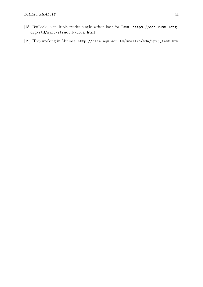- <span id="page-40-0"></span>[18] RwLock, a multiple reader single writer lock for Rust, [https://doc.rust-lang.](https://doc.rust-lang.org/std/sync/struct.RwLock.html) [org/std/sync/struct.RwLock.html](https://doc.rust-lang.org/std/sync/struct.RwLock.html)
- <span id="page-40-1"></span>[19] IPv6 working in Mininet, [http://csie.nqu.edu.tw/smallko/sdn/ipv6\\_test.htm](http://csie.nqu.edu.tw/smallko/sdn/ipv6_test.htm)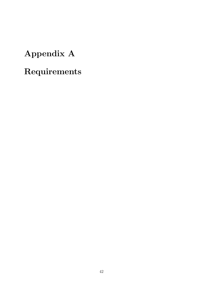# <span id="page-41-0"></span>Appendix A

# Requirements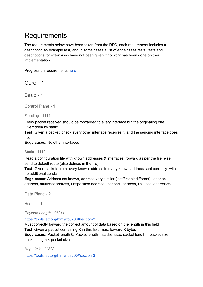## **Requirements**

The requirements below have been taken from the RFC, each requirement includes a description an example test, and in some cases a list of edge cases tests, tests and descriptions for extensions have not been given if no work has been done on their implementation.

Progress on requirements here

### Core - 1

Basic - 1

Control Plane - 1

Flooding - 1111

Every packet received should be forwarded to every interface but the originating one. Overridden by static.

**Test:** Given a packet, check every other interface receives it, and the sending interface does not

**Edge cases:** No other interfaces

Static - 1112

Read a configuration file with known addresses & interfaces, forward as per the file, else send to default route (also defined in the file)

**Test:** Given packets from every known address to every known address sent correctly, with no additional sends

**Edge cases**: Address not known, address very similar (last/first bit different), loopback address, multicast address, unspecified address, loopback address, link local addresses

Data Plane - 2

Header - 1

*Payload Length - 11211*

https://tools.ietf.org/html/rfc8200#section-3

Must correctly forward the correct amount of data based on the length in this field **Test**: Given a packet containing X in this field must forward X bytes **Edge cases:** Packet length 0, Packet length = packet size, packet length > packet size, packet length < packet size

*Hop Limit - 11212*

https://tools.ietf.org/html/rfc8200#section-3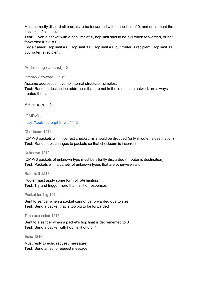Must correctly discard all packets to be forwarded with a hop limit of 0, and decrement the hop limit of all packets

**Test:** Given a packet with a hop limit of X, hop limit should be X-1 when forwarded, or not forwarded if  $X-1 = 0$ 

**Edge cases:** Hop limit = 0, Hop limit < 0, Hop limit = 0 but router is recipient, Hop limit < 0 but router is recipient.

Addressing (Unicast) - 3

*Internal Structure - 1131*

Assume addresses have no internal structure - simplest **Test:** Random destination addresses that are not in the immediate network are always treated the same

Advanced - 2

ICMPv6 - 1

https://tools.ietf.org/html/rfc4443

Checksum 1211

ICMPv6 packets with incorrect checksums should be dropped (only if router is destination) **Test:** Random bit changes to packets so that checksum is incorrect

#### Unknown 1212

ICMPv6 packets of unknown type must be silently discarded (if router is destination) **Test:** Packets with a variety of unknown types that are otherwise valid

Rate limit 1213

Router must apply some form of rate limiting **Test**: Try and trigger more than limit of responses

Packet too big 1214

Sent to sender when a packet cannot be forwarded due to size **Test:** Send a packet that is too big to be forwarded

Time exceeded 1215

Sent to a sender when a packet's hop limit is decremented to 0 **Test:** Send a packet with hop\_limit of 0 or 1

Echo 1216

Must reply to echo request messages **Test:** Send an echo request message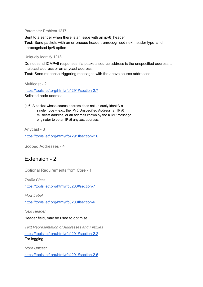#### Parameter Problem 1217

Sent to a sender when there is an issue with an ipv6 header **Test:** Send packets with an erroneous header, unrecognised next header type, and unrecognised ipv6 option

#### Uniquely Identify 1218

Do not send ICMPv6 responses if a packets source address is the unspecified address, a multicast address or an anycast address.

**Test:** Send response triggering messages with the above source addresses

Multicast - 2

https://tools.ietf.org/html/rfc4291#section-2.7 Solicited node address

(e.6) A packet whose source address does not uniquely identify a single node -- e.g., the IPv6 Unspecified Address, an IPv6 multicast address, or an address known by the ICMP message originator to be an IPv6 anycast address.

Anycast - 3

https://tools.ietf.org/html/rfc4291#section-2.6

Scoped Addresses - 4

### Extension - 2

Optional Requirements from Core - 1

*Traffic Class*

https://tools.ietf.org/html/rfc8200#section-7

*Flow Label*

https://tools.ietf.org/html/rfc8200#section-6

*Next Header*

#### Header field, may be used to optimise

*Text Representation of Addresses and Prefixes*

https://tools.ietf.org/html/rfc4291#section-2.2 For logging

*More Unicast* https://tools.ietf.org/html/rfc4291#section-2.5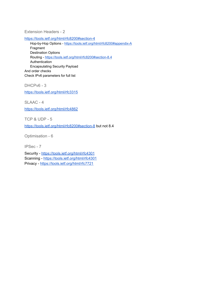Extension Headers - 2

https://tools.ietf.org/html/rfc8200#section-4

Hop-by-Hop Options - https://tools.ietf.org/html/rfc8200#appendix-A Fragment Destination Options Routing - https://tools.ietf.org/html/rfc8200#section-8.4 Authentication Encapsulating Security Payload And order checks Check IPv6 parameters for full list

DHCPv6 - 3

https://tools.ietf.org/html/rfc3315

SLAAC - 4

https://tools.ietf.org/html/rfc4862

TCP & UDP - 5

https://tools.ietf.org/html/rfc8200#section-8 but not 8.4

Optimisation - 6

IPSec - 7

Security - https://tools.ietf.org/html/rfc4301 Scanning - https://tools.ietf.org/html/rfc4301 Privacy - https://tools.ietf.org/html/rfc7721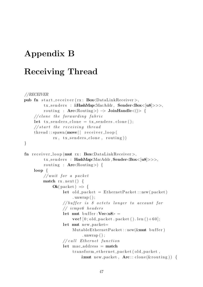## <span id="page-46-0"></span>Appendix B

## Receiving Thread

```
//RECEIVER
pub fn start_receiver (rx: BoxDataLinkReceiver),
         tx_senders : &HashMap<MacAddr, Sender<Box<[u8]>>>,
         routing : Arc<\text{Routing} > \rightarrow JoinHandle<()> {
    // clone the forwarding fabriclet tx\_senders\_clone = tx\_senders.clone ();
    // start the receiving threadth read::spam(move || receiver-loop()rx, tx\_senders\_clone, routing)}
fn receiver_loop(mut rx: Box\text{DataLinkReceiver}),
         tx_senders : HashMap<MacAddr, Sender<Box<[u8]>>>,
         routing : Arc<Routing >) {
    loop {
         // wait for a packetmatch rx . next () {
             Ok(packet) \Rightarrow {
                  let old packet = EthernetPacket::new(packet). unwrap();
                  // buffer is 8 octets longer to account for
                  // icmpv6 headers
                  let mut buffer : Vec<u>8</u> =
                      \textbf{vec}! [0; \text{old}_\text{packet} . packet (). len () + 60;
                  let mut new packet=
                       Mutable EthernetPacket::new(kmut buffer). unwrap();
                  // call Ethernet function
                  let mac_address = match
                       transform_ethernet_packet(old_packet,
                           \&mut new_packet, \text{Arc}::\text{clone}(\& routing)) {
```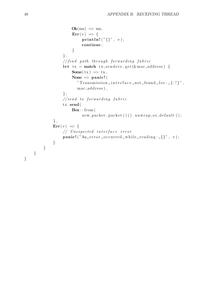```
Ok(ma) \Rightarrow ma,Err(e) \Rightarrow \{\textbf{print} \ln ! \left( " \{\} \right", \text{ } e \text{)};continue ;
                           }
                      \};
                      // find path through forwarding fabric
                      let tx = match tx_senders.get (\& mac_address) {
                           Some(tx) \Rightarrow tx,
                           None \Rightarrow panic! (
                              " Transmission \Box interface \Box not \Box found \Box for : \Box {:?}",
                              mac_address),
                      } ;
                      // send to forwarding fabrictx . send(
                           Box : : from (
                                 new-packet.packet()).unwrap-or-default();
                } ,
                Err(e) \Rightarrow {
                      // Unexpected interface error
                      \textbf{panic}! ("An error occurred while reading : \text{I}", e);
                }
          }
     }
}
```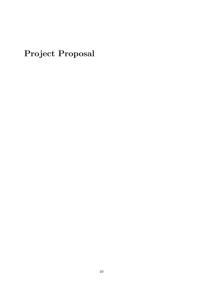<span id="page-48-0"></span>Project Proposal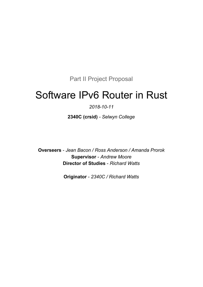Part II Project Proposal

# Software IPv6 Router in Rust

### *2018-10-11*

**2340C (crsid)** *- Selwyn College*

**Overseers** - *Jean Bacon / Ross Anderson / Amanda Prorok* **Supervisor** - *Andrew Moore* **Director of Studies** - *Richard Watts*

**Originator** - *2340C / Richard Watts*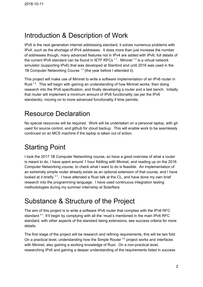## Introduction & Description of Work

IPv6 is the next generation internet addressing standard, it solves numerous problems with IPv4, such as the shortage of IPv4 addresses. It does more than just increase the number of addresses though, many advanced features not in IPv4 are added with IPv6, full details of the current IPv6 standard can be found in IETF RFCs  $^{1.1}$ . Mininet  $^{1.2}$  is a virtual network simulator (supporting IPv6) that was developed at Stanford and until 2016 was used in the 1B Computer Networking Course <sup>1.3</sup> (the year before I attended it).

This project will make use of Mininet to write a software implementation of an IPv6 router in Rust<sup>1.4</sup>. This will begin with gaining an understanding of how Mininet works, then doing research into the IPv6 specification, and finally developing a router and a test bench. Initially that router will implement a minimum amount of IPv6 functionality (as per the IPv6 standards), moving on to more advanced functionality if time permits.

## Resource Declaration

No special resources will be required. Work will be undertaken on a personal laptop, with git used for source control, and github for cloud backup. This will enable work to be seamlessly continued on an MCS machine if the laptop is taken out of action.

## Starting Point

I took the 2017 1B Computer Networking course, so have a good overview of what a router is meant to do. I have spent around 1 hour fiddling with Mininet, and reading up on the 2016 Computer Networking course, to check what I want to do is feasible. An implementation of an extremely simple router already exists as an optional extension of that course, and I have looked at it briefly  $3.1$ . I have attended a Rust talk at the CL, and have done my own brief research into the programming language. I have used continuous integration testing methodologies during my summer internship at Solarflare.

## Substance & Structure of the Project

The aim of this project is to write a software IPv6 router that complies with the IPv6 RFC standard<sup>4.1</sup>. It'll begin by complying with all the 'must's mentioned in the main IPv6 RFC standard, with other aspects of the standard being extensions, see success criteria for more details.

The first stage of the project will be research and refining requirements, this will be two fold. On a practical level, understanding how the Simple Router<sup>42</sup> project works and interfaces with Mininet, also gaining a working knowledge of Rust. On a non-practical level, researching IPv6 and gaining a deeper understanding of the requirements listed in success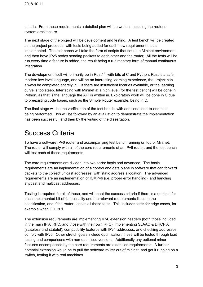criteria. From these requirements a detailed plan will be written, including the router's system architecture.

The next stage of the project will be development and testing. A test bench will be created as the project proceeds, with tests being added for each new requirement that is implemented. The test bench will take the form of scripts that set up a Mininet environment, and then have IPv6 nodes sending packets to each other and the router. All the tests will be run every time a feature is added, the result being a rudimentary form of manual continuous integration.

The development itself will primarily be in Rust<sup>4.3</sup>, with bits of C and Python. Rust is a safe modern low level language, and will be an interesting learning experience, the project can always be completed entirely in C if there are insufficient libraries available, or the learning curve is too steep. Interfacing with Mininet at a high level (for the test bench) will be done in Python, as that is the language the API is written in. Exploratory work will be done in C due to preexisting code bases, such as the Simple Router example, being in C.

The final stage will be the verification of the test bench, with additional end-to-end tests being performed. This will be followed by an evaluation to demonstrate the implementation has been successful, and then by the writing of the dissertation.

## Success Criteria

To have a software IPv6 router and accompanying test bench running on top of Mininet. The router will comply with all of the core requirements of an IPv6 router, and the test bench will test each of these requirements.

The core requirements are divided into two parts: basic and advanced. The basic requirements are an implementation of a control and data plane in software that can forward packets to the correct unicast addresses, with static address allocation. The advanced requirements are an implementation of ICMPv6 (i.e. proper error handling), and handling anycast and multicast addresses.

Testing is required for all of these, and will meet the success criteria if there is a unit test for each implemented bit of functionality and the relevant requirements listed in the specification, and if the router passes all these tests. This includes tests for edge cases, for example when TTL is 1.

The extension requirements are implementing IPv6 extension headers (both those included in the main IPv6 RFC, and those with their own RFC), implementing SLAAC & DHCPv6 (stateless and stateful), compatibility features with IPv4 addresses, and checking addresses comply with IPv6. Other stretch goals include optimisation, these will be tested through load testing and comparisons with non-optimised versions. Additionally any optional minor features encompassed by the core requirements are extension requirements. A further potential extension would be to pull the software router out of mininet, and get it running on a switch, testing it with real machines.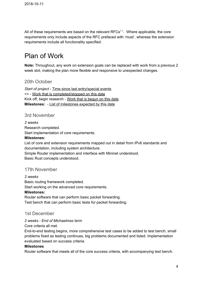All of these requirements are based on the relevant  $RFCs<sup>1.1</sup>$ . Where applicable, the core requirements only include aspects of the RFC prefaced with 'must', whereas the extension requirements include all functionality specified.

## Plan of Work

**Note:** Throughout, any work on extension goals can be replaced with work from a previous 2 week slot, making the plan more flexible and responsive to unexpected changes.

#### 20th October

*Start of project -* Time since last entry/special events <> - Work that is completed/stopped on this date Kick off, begin research - Work that is begun on this date **Milestones:** - List of milestones expected by this date

#### 3rd November

*2 weeks* Research completed. Start implementation of core requirements.

#### **Milestones:**

List of core and extension requirements mapped out in detail from IPv6 standards and documentation, including system architecture.

Simple Router implementation and interface with Mininet understood.

Basic Rust concepts understood.

#### 17th November

*2 weeks*

Basic routing framework completed. Start working on the advanced core requirements. **Milestones:** Router software that can perform basic packet forwarding. Test bench that can perform basic tests for packet forwarding.

#### 1st December

#### *2 weeks - End of Michaelmas term*

Core criteria all met.

End-to-end testing begins, more comprehensive test cases to be added to test bench, small problems fixed as testing continues, big problems documented and listed. Implementation evaluated based on success criteria.

#### **Milestones**

Router software that meets all of the core success criteria, with accompanying test bench.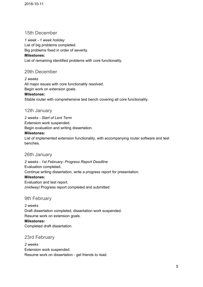#### 15th December

*1 week - 1 week holiday*

List of big problems completed.

Big problems fixed in order of severity.

#### **Milestones:**

List of remaining identified problems with core functionality.

### 29th December

*2 weeks* All major issues with core functionality resolved. Begin work on extension goals.

### **Milestones:**

Stable router with comprehensive test bench covering all core functionality.

### 12th January

*2 weeks - Start of Lent Term*

Extension work suspended.

Begin evaluation and writing dissertation.

#### **Milestones:**

List of implemented extension functionality, with accompanying router software and test benches.

#### 26th January

*2 weeks - 1st February: Progress Report Deadline* Evaluation completed. Continue writing dissertation, write a progress report for presentation. **Milestones:** Evaluation and test report. *(midway)* Progress report completed and submitted

### 9th February

*2 weeks* Draft dissertation completed, dissertation work suspended. Resume work on extension goals. **Milestones:** Completed draft dissertation.

#### 23rd February

*2 weeks* Extension work suspended. Resume work on dissertation - get friends to read.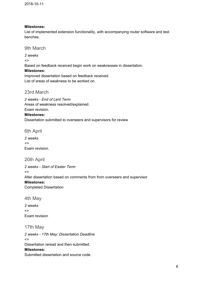#### **Milestones:**

List of implemented extension functionality, with accompanying router software and test benches.

#### 9th March

*2 weeks*

 $\leftrightarrow$ 

Based on feedback received begin work on weaknesses in dissertation.

#### **Milestones:**

Improved dissertation based on feedback received. List of areas of weakness to be worked on.

#### 23rd March

*2 weeks - End of Lent Term* Areas of weakness resolved/explained. Exam revision.

#### **Milestones:**

Dissertation submitted to overseers and supervisors for review

6th April

*2 weeks <>* Exam revision.

#### 20th April

*2 weeks - Start of Easter Term*  $\leftrightarrow$ Alter dissertation based on comments from from overseers and supervisor **Milestones:** Completed Dissertation

4th May

*2 weeks*  $\leftrightarrow$ Exam revision

17th May

*2 weeks - 17th May: Dissertation Deadline*  $\leftrightarrow$ Dissertation reread and then submitted. **Milestones:** Submitted dissertation and source code.